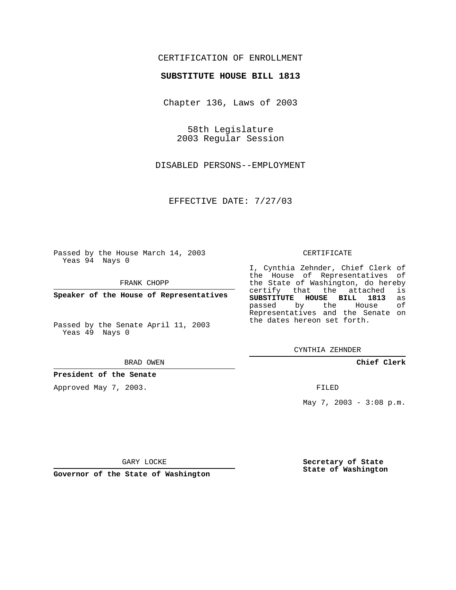## CERTIFICATION OF ENROLLMENT

### **SUBSTITUTE HOUSE BILL 1813**

Chapter 136, Laws of 2003

58th Legislature 2003 Regular Session

DISABLED PERSONS--EMPLOYMENT

EFFECTIVE DATE: 7/27/03

Passed by the House March 14, 2003 Yeas 94 Nays 0

FRANK CHOPP

**Speaker of the House of Representatives**

Passed by the Senate April 11, 2003 Yeas 49 Nays 0

#### BRAD OWEN

**President of the Senate**

Approved May 7, 2003.

#### CERTIFICATE

I, Cynthia Zehnder, Chief Clerk of the House of Representatives of the State of Washington, do hereby<br>certify that the attached is certify that the attached **SUBSTITUTE HOUSE BILL 1813** as passed by the Representatives and the Senate on the dates hereon set forth.

CYNTHIA ZEHNDER

**Chief Clerk**

FILED

May 7, 2003 - 3:08 p.m.

GARY LOCKE

**Governor of the State of Washington**

**Secretary of State State of Washington**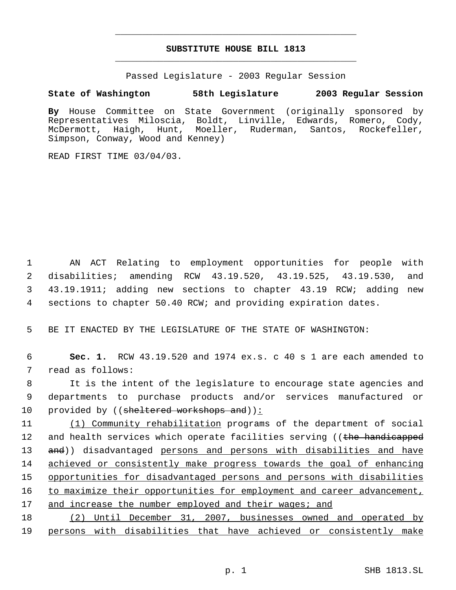# **SUBSTITUTE HOUSE BILL 1813** \_\_\_\_\_\_\_\_\_\_\_\_\_\_\_\_\_\_\_\_\_\_\_\_\_\_\_\_\_\_\_\_\_\_\_\_\_\_\_\_\_\_\_\_\_

\_\_\_\_\_\_\_\_\_\_\_\_\_\_\_\_\_\_\_\_\_\_\_\_\_\_\_\_\_\_\_\_\_\_\_\_\_\_\_\_\_\_\_\_\_

Passed Legislature - 2003 Regular Session

# **State of Washington 58th Legislature 2003 Regular Session**

**By** House Committee on State Government (originally sponsored by Representatives Miloscia, Boldt, Linville, Edwards, Romero, Cody, McDermott, Haigh, Hunt, Moeller, Ruderman, Santos, Rockefeller, Simpson, Conway, Wood and Kenney)

READ FIRST TIME 03/04/03.

 AN ACT Relating to employment opportunities for people with disabilities; amending RCW 43.19.520, 43.19.525, 43.19.530, and 43.19.1911; adding new sections to chapter 43.19 RCW; adding new sections to chapter 50.40 RCW; and providing expiration dates.

5 BE IT ENACTED BY THE LEGISLATURE OF THE STATE OF WASHINGTON:

 6 **Sec. 1.** RCW 43.19.520 and 1974 ex.s. c 40 s 1 are each amended to 7 read as follows:

 8 It is the intent of the legislature to encourage state agencies and 9 departments to purchase products and/or services manufactured or 10 provided by ((sheltered workshops and)):

11 (1) Community rehabilitation programs of the department of social 12 and health services which operate facilities serving ((the handicapped 13 and)) disadvantaged persons and persons with disabilities and have 14 achieved or consistently make progress towards the goal of enhancing 15 opportunities for disadvantaged persons and persons with disabilities 16 to maximize their opportunities for employment and career advancement, 17 and increase the number employed and their wages; and

18 (2) Until December 31, 2007, businesses owned and operated by 19 persons with disabilities that have achieved or consistently make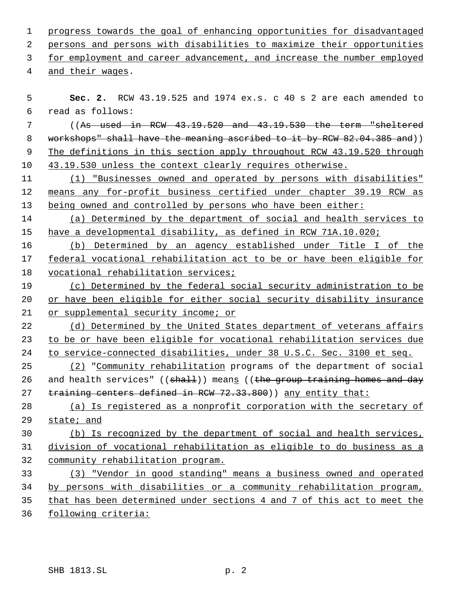| $\mathbf{1}$ | progress towards the goal of enhancing opportunities for disadvantaged     |
|--------------|----------------------------------------------------------------------------|
| $\sqrt{2}$   | persons and persons with disabilities to maximize their opportunities      |
| 3            | for employment and career advancement, and increase the number employed    |
| 4            | and their wages.                                                           |
|              |                                                                            |
| 5            | <b>Sec. 2.</b> RCW 43.19.525 and 1974 ex.s. $c$ 40 s 2 are each amended to |
| 6            | read as follows:                                                           |
| 7            | $($ $As$ used in RCW $43.19.520$ and $43.19.530$ the term "sheltered       |
| 8            | workshops" shall have the meaning ascribed to it by RCW 82.04.385 and))    |
| 9            | The definitions in this section apply throughout RCW 43.19.520 through     |
| 10           | 43.19.530 unless the context clearly requires otherwise.                   |
| 11           | (1) "Businesses owned and operated by persons with disabilities"           |
| 12           | means any for-profit business certified under chapter 39.19 RCW as         |
| 13           | being owned and controlled by persons who have been either:                |
| 14           | (a) Determined by the department of social and health services to          |
| 15           | have a developmental disability, as defined in RCW 71A.10.020;             |
| 16           | (b) Determined by an agency established under Title I of the               |
| 17           | federal vocational rehabilitation act to be or have been eligible for      |
| 18           | vocational rehabilitation services;                                        |
| 19           | (c) Determined by the federal social security administration to be         |
| 20           | or have been eligible for either social security disability insurance      |
| 21           | or supplemental security income; or                                        |
| 22           | (d) Determined by the United States department of veterans affairs         |
| 23           | to be or have been eligible for vocational rehabilitation services due     |
| 24           | to service-connected disabilities, under 38 U.S.C. Sec. 3100 et seq.       |
| 25           | (2) "Community rehabilitation programs of the department of social         |
| 26           | and health services" ((shall)) means ((the group training homes and day    |
| 27           | training centers defined in RCW 72.33.800)) any entity that:               |
| 28           | (a) Is registered as a nonprofit corporation with the secretary of         |
| 29           | state; and                                                                 |
| 30           | (b) Is recognized by the department of social and health services,         |
| 31           | division of vocational rehabilitation as eligible to do business as a      |
| 32           | community rehabilitation program.                                          |
| 33           | (3) "Vendor in good standing" means a business owned and operated          |
| 34           | by persons with disabilities or a community rehabilitation program,        |
| 35           | that has been determined under sections 4 and 7 of this act to meet the    |
| 36           | following criteria:                                                        |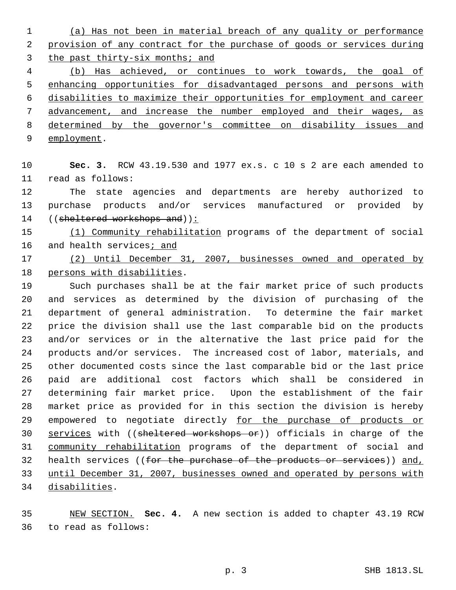(a) Has not been in material breach of any quality or performance provision of any contract for the purchase of goods or services during the past thirty-six months; and

 (b) Has achieved, or continues to work towards, the goal of enhancing opportunities for disadvantaged persons and persons with disabilities to maximize their opportunities for employment and career advancement, and increase the number employed and their wages, as determined by the governor's committee on disability issues and

9 employment.

 **Sec. 3.** RCW 43.19.530 and 1977 ex.s. c 10 s 2 are each amended to read as follows:

 The state agencies and departments are hereby authorized to purchase products and/or services manufactured or provided by 14 ((sheltered workshops and)):

 (1) Community rehabilitation programs of the department of social and health services; and

 (2) Until December 31, 2007, businesses owned and operated by persons with disabilities.

 Such purchases shall be at the fair market price of such products and services as determined by the division of purchasing of the department of general administration. To determine the fair market price the division shall use the last comparable bid on the products and/or services or in the alternative the last price paid for the products and/or services. The increased cost of labor, materials, and other documented costs since the last comparable bid or the last price paid are additional cost factors which shall be considered in determining fair market price. Upon the establishment of the fair market price as provided for in this section the division is hereby 29 empowered to negotiate directly for the purchase of products or 30 services with ((sheltered workshops or)) officials in charge of the community rehabilitation programs of the department of social and 32 health services ((for the purchase of the products or services)) and, until December 31, 2007, businesses owned and operated by persons with disabilities.

 NEW SECTION. **Sec. 4.** A new section is added to chapter 43.19 RCW to read as follows: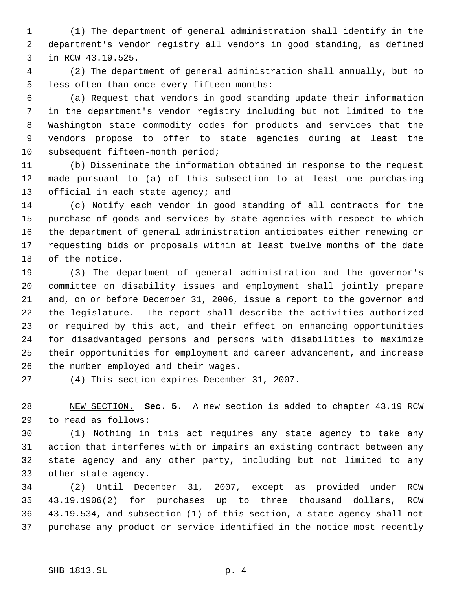(1) The department of general administration shall identify in the department's vendor registry all vendors in good standing, as defined in RCW 43.19.525.

 (2) The department of general administration shall annually, but no less often than once every fifteen months:

 (a) Request that vendors in good standing update their information in the department's vendor registry including but not limited to the Washington state commodity codes for products and services that the vendors propose to offer to state agencies during at least the subsequent fifteen-month period;

 (b) Disseminate the information obtained in response to the request made pursuant to (a) of this subsection to at least one purchasing 13 official in each state agency; and

 (c) Notify each vendor in good standing of all contracts for the purchase of goods and services by state agencies with respect to which the department of general administration anticipates either renewing or requesting bids or proposals within at least twelve months of the date of the notice.

 (3) The department of general administration and the governor's committee on disability issues and employment shall jointly prepare and, on or before December 31, 2006, issue a report to the governor and the legislature. The report shall describe the activities authorized or required by this act, and their effect on enhancing opportunities for disadvantaged persons and persons with disabilities to maximize their opportunities for employment and career advancement, and increase the number employed and their wages.

(4) This section expires December 31, 2007.

 NEW SECTION. **Sec. 5.** A new section is added to chapter 43.19 RCW to read as follows:

 (1) Nothing in this act requires any state agency to take any action that interferes with or impairs an existing contract between any state agency and any other party, including but not limited to any other state agency.

 (2) Until December 31, 2007, except as provided under RCW 43.19.1906(2) for purchases up to three thousand dollars, RCW 43.19.534, and subsection (1) of this section, a state agency shall not purchase any product or service identified in the notice most recently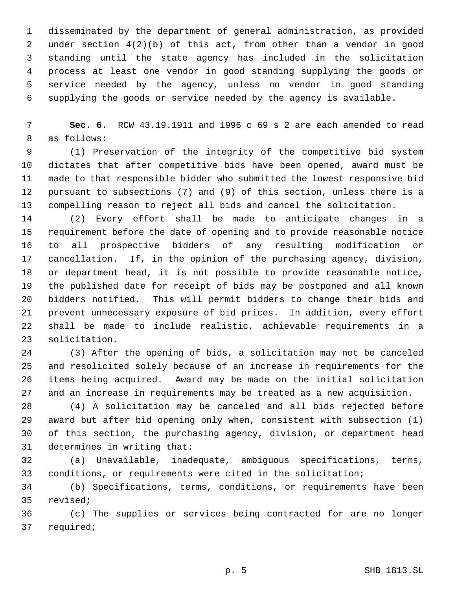disseminated by the department of general administration, as provided under section 4(2)(b) of this act, from other than a vendor in good standing until the state agency has included in the solicitation process at least one vendor in good standing supplying the goods or service needed by the agency, unless no vendor in good standing supplying the goods or service needed by the agency is available.

 **Sec. 6.** RCW 43.19.1911 and 1996 c 69 s 2 are each amended to read as follows:

 (1) Preservation of the integrity of the competitive bid system dictates that after competitive bids have been opened, award must be made to that responsible bidder who submitted the lowest responsive bid pursuant to subsections (7) and (9) of this section, unless there is a compelling reason to reject all bids and cancel the solicitation.

 (2) Every effort shall be made to anticipate changes in a requirement before the date of opening and to provide reasonable notice to all prospective bidders of any resulting modification or cancellation. If, in the opinion of the purchasing agency, division, or department head, it is not possible to provide reasonable notice, the published date for receipt of bids may be postponed and all known bidders notified. This will permit bidders to change their bids and prevent unnecessary exposure of bid prices. In addition, every effort shall be made to include realistic, achievable requirements in a solicitation.

 (3) After the opening of bids, a solicitation may not be canceled and resolicited solely because of an increase in requirements for the items being acquired. Award may be made on the initial solicitation and an increase in requirements may be treated as a new acquisition.

 (4) A solicitation may be canceled and all bids rejected before award but after bid opening only when, consistent with subsection (1) of this section, the purchasing agency, division, or department head determines in writing that:

 (a) Unavailable, inadequate, ambiguous specifications, terms, conditions, or requirements were cited in the solicitation;

 (b) Specifications, terms, conditions, or requirements have been revised;

 (c) The supplies or services being contracted for are no longer required;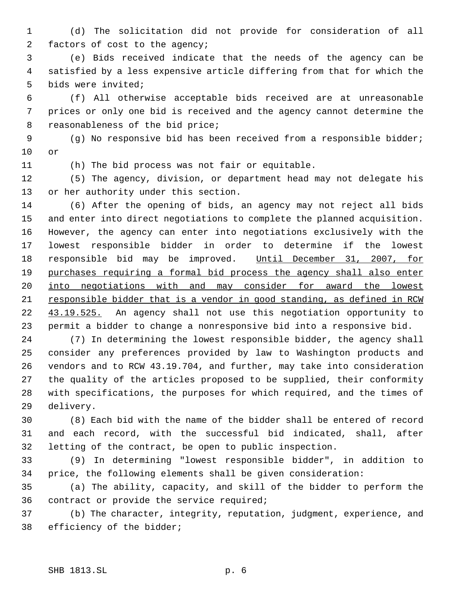(d) The solicitation did not provide for consideration of all factors of cost to the agency;

 (e) Bids received indicate that the needs of the agency can be satisfied by a less expensive article differing from that for which the bids were invited;

 (f) All otherwise acceptable bids received are at unreasonable prices or only one bid is received and the agency cannot determine the reasonableness of the bid price;

 (g) No responsive bid has been received from a responsible bidder; or

(h) The bid process was not fair or equitable.

 (5) The agency, division, or department head may not delegate his or her authority under this section.

 (6) After the opening of bids, an agency may not reject all bids and enter into direct negotiations to complete the planned acquisition. However, the agency can enter into negotiations exclusively with the lowest responsible bidder in order to determine if the lowest 18 responsible bid may be improved. Until December 31, 2007, for purchases requiring a formal bid process the agency shall also enter into negotiations with and may consider for award the lowest responsible bidder that is a vendor in good standing, as defined in RCW 22 43.19.525. An agency shall not use this negotiation opportunity to permit a bidder to change a nonresponsive bid into a responsive bid.

 (7) In determining the lowest responsible bidder, the agency shall consider any preferences provided by law to Washington products and vendors and to RCW 43.19.704, and further, may take into consideration the quality of the articles proposed to be supplied, their conformity with specifications, the purposes for which required, and the times of delivery.

 (8) Each bid with the name of the bidder shall be entered of record and each record, with the successful bid indicated, shall, after letting of the contract, be open to public inspection.

 (9) In determining "lowest responsible bidder", in addition to price, the following elements shall be given consideration:

 (a) The ability, capacity, and skill of the bidder to perform the contract or provide the service required;

 (b) The character, integrity, reputation, judgment, experience, and efficiency of the bidder;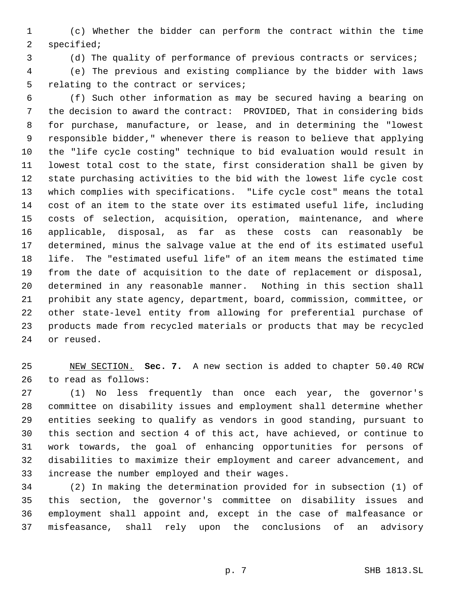(c) Whether the bidder can perform the contract within the time specified;

(d) The quality of performance of previous contracts or services;

 (e) The previous and existing compliance by the bidder with laws relating to the contract or services;

- (f) Such other information as may be secured having a bearing on the decision to award the contract: PROVIDED, That in considering bids for purchase, manufacture, or lease, and in determining the "lowest responsible bidder," whenever there is reason to believe that applying the "life cycle costing" technique to bid evaluation would result in lowest total cost to the state, first consideration shall be given by state purchasing activities to the bid with the lowest life cycle cost which complies with specifications. "Life cycle cost" means the total cost of an item to the state over its estimated useful life, including costs of selection, acquisition, operation, maintenance, and where applicable, disposal, as far as these costs can reasonably be determined, minus the salvage value at the end of its estimated useful life. The "estimated useful life" of an item means the estimated time from the date of acquisition to the date of replacement or disposal, determined in any reasonable manner. Nothing in this section shall prohibit any state agency, department, board, commission, committee, or other state-level entity from allowing for preferential purchase of products made from recycled materials or products that may be recycled or reused.
- NEW SECTION. **Sec. 7.** A new section is added to chapter 50.40 RCW to read as follows:

 (1) No less frequently than once each year, the governor's committee on disability issues and employment shall determine whether entities seeking to qualify as vendors in good standing, pursuant to this section and section 4 of this act, have achieved, or continue to work towards, the goal of enhancing opportunities for persons of disabilities to maximize their employment and career advancement, and increase the number employed and their wages.

 (2) In making the determination provided for in subsection (1) of this section, the governor's committee on disability issues and employment shall appoint and, except in the case of malfeasance or misfeasance, shall rely upon the conclusions of an advisory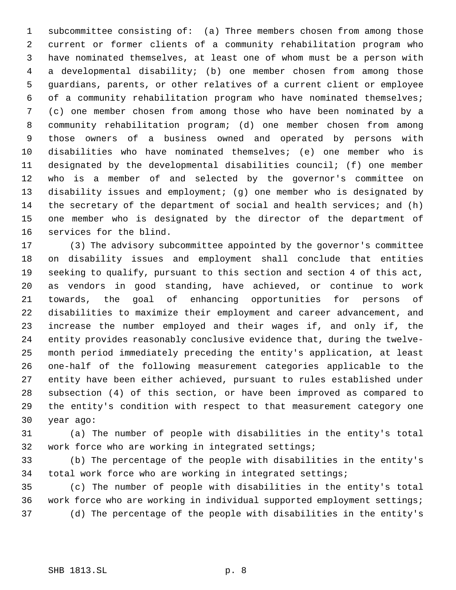subcommittee consisting of: (a) Three members chosen from among those current or former clients of a community rehabilitation program who have nominated themselves, at least one of whom must be a person with a developmental disability; (b) one member chosen from among those guardians, parents, or other relatives of a current client or employee of a community rehabilitation program who have nominated themselves; (c) one member chosen from among those who have been nominated by a community rehabilitation program; (d) one member chosen from among those owners of a business owned and operated by persons with disabilities who have nominated themselves; (e) one member who is designated by the developmental disabilities council; (f) one member who is a member of and selected by the governor's committee on disability issues and employment; (g) one member who is designated by the secretary of the department of social and health services; and (h) one member who is designated by the director of the department of services for the blind.

 (3) The advisory subcommittee appointed by the governor's committee on disability issues and employment shall conclude that entities seeking to qualify, pursuant to this section and section 4 of this act, as vendors in good standing, have achieved, or continue to work towards, the goal of enhancing opportunities for persons of disabilities to maximize their employment and career advancement, and increase the number employed and their wages if, and only if, the entity provides reasonably conclusive evidence that, during the twelve- month period immediately preceding the entity's application, at least one-half of the following measurement categories applicable to the entity have been either achieved, pursuant to rules established under subsection (4) of this section, or have been improved as compared to the entity's condition with respect to that measurement category one year ago:

 (a) The number of people with disabilities in the entity's total work force who are working in integrated settings;

 (b) The percentage of the people with disabilities in the entity's total work force who are working in integrated settings;

 (c) The number of people with disabilities in the entity's total work force who are working in individual supported employment settings; (d) The percentage of the people with disabilities in the entity's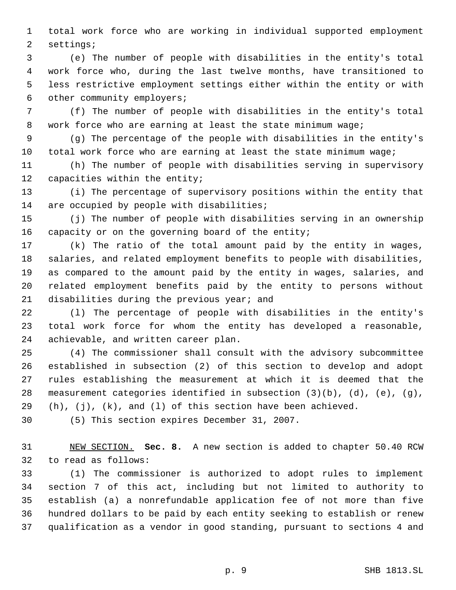total work force who are working in individual supported employment settings;

 (e) The number of people with disabilities in the entity's total work force who, during the last twelve months, have transitioned to less restrictive employment settings either within the entity or with other community employers;

 (f) The number of people with disabilities in the entity's total work force who are earning at least the state minimum wage;

 (g) The percentage of the people with disabilities in the entity's total work force who are earning at least the state minimum wage;

 (h) The number of people with disabilities serving in supervisory capacities within the entity;

 (i) The percentage of supervisory positions within the entity that 14 are occupied by people with disabilities;

 (j) The number of people with disabilities serving in an ownership capacity or on the governing board of the entity;

 (k) The ratio of the total amount paid by the entity in wages, salaries, and related employment benefits to people with disabilities, as compared to the amount paid by the entity in wages, salaries, and related employment benefits paid by the entity to persons without disabilities during the previous year; and

 (l) The percentage of people with disabilities in the entity's total work force for whom the entity has developed a reasonable, achievable, and written career plan.

 (4) The commissioner shall consult with the advisory subcommittee established in subsection (2) of this section to develop and adopt rules establishing the measurement at which it is deemed that the measurement categories identified in subsection (3)(b), (d), (e), (g),  $(h)$ ,  $(j)$ ,  $(k)$ , and  $(1)$  of this section have been achieved.

(5) This section expires December 31, 2007.

 NEW SECTION. **Sec. 8.** A new section is added to chapter 50.40 RCW to read as follows:

 (1) The commissioner is authorized to adopt rules to implement section 7 of this act, including but not limited to authority to establish (a) a nonrefundable application fee of not more than five hundred dollars to be paid by each entity seeking to establish or renew qualification as a vendor in good standing, pursuant to sections 4 and